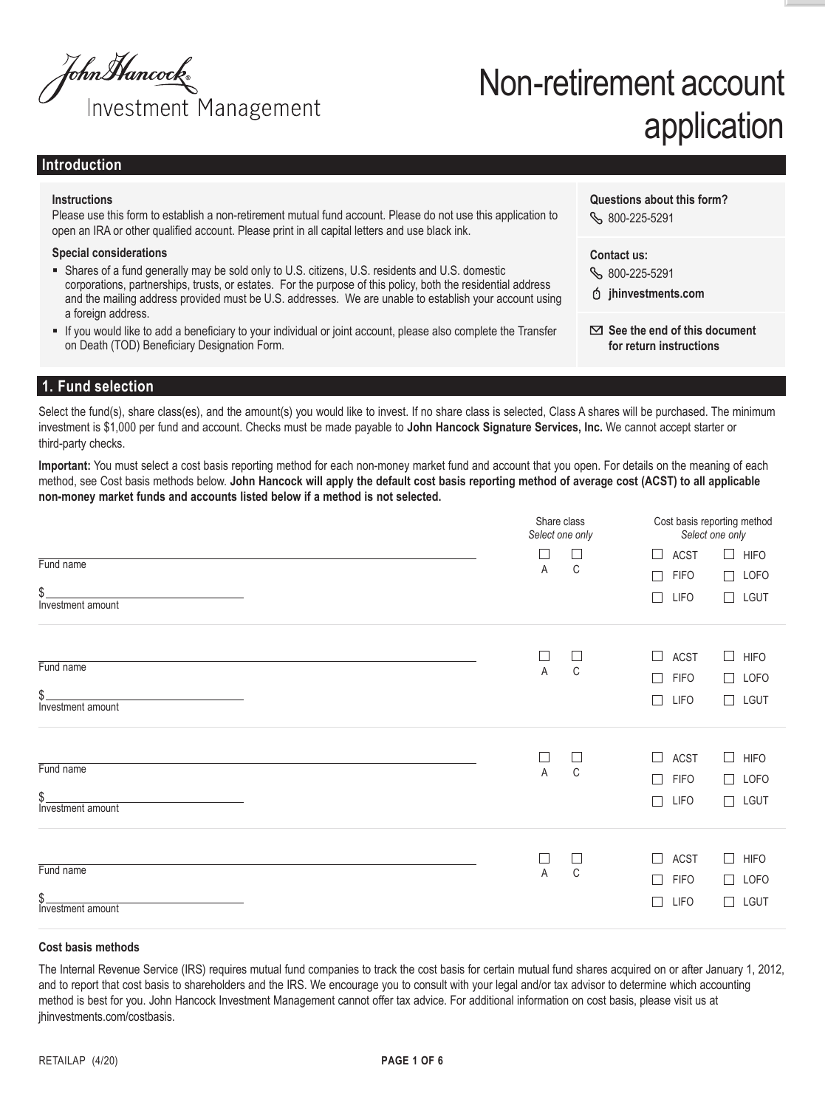

# Non-retirement account application

## **Introduction**

#### **Instructions**

Please use this form to establish a non-retirement mutual fund account. Please do not use this application to open an IRA or other qualified account. Please print in all capital letters and use black ink.

#### **Special considerations**

- Shares of a fund generally may be sold only to U.S. citizens, U.S. residents and U.S. domestic corporations, partnerships, trusts, or estates. For the purpose of this policy, both the residential address and the mailing address provided must be U.S. addresses. We are unable to establish your account using a foreign address.
- § If you would like to add a beneficiary to your individual or joint account, please also complete the Transfer on Death (TOD) Beneficiary Designation Form.

**Contact us:**

**Questions about this form?**

800-225-5291

800-225-5291

**jhinvestments.com**

 **See the end of this document for return instructions**

## **1. Fund selection**

Select the fund(s), share class(es), and the amount(s) you would like to invest. If no share class is selected, Class A shares will be purchased. The minimum investment is \$1,000 per fund and account. Checks must be made payable to **John Hancock Signature Services, Inc.** We cannot accept starter or third-party checks.

**Important:** You must select a cost basis reporting method for each non-money market fund and account that you open. For details on the meaning of each method, see Cost basis methods below. **John Hancock will apply the default cost basis reporting method of average cost (ACST) to all applicable non-money market funds and accounts listed below if a method is not selected.**

|                          | Share class<br>Select one only |                       |                       | Cost basis reporting method<br>Select one only |  |  |
|--------------------------|--------------------------------|-----------------------|-----------------------|------------------------------------------------|--|--|
| Fund name                | $\Box$                         | $\Box$<br>C           | <b>ACST</b><br>$\Box$ | $\Box$ HIFO                                    |  |  |
|                          | Α                              |                       | <b>FIFO</b><br>$\Box$ | $\Box$ LOFO                                    |  |  |
| \$.<br>Investment amount |                                |                       | <b>LIFO</b><br>$\Box$ | $\Box$ LGUT                                    |  |  |
|                          | $\sqcup$                       | $\Box$                | $\Box$<br><b>ACST</b> | $\Box$<br><b>HIFO</b>                          |  |  |
| Fund name                | A                              | $\mathbb C$           | $\Box$<br><b>FIFO</b> | $\Box$ LOFO                                    |  |  |
| \$.<br>Investment amount |                                |                       | П<br><b>LIFO</b>      | $\Box$ LGUT                                    |  |  |
| Fund name                | $\Box$<br>A                    | $\Box$<br>$\mathbb C$ | $\Box$<br><b>ACST</b> | $\Box$<br><b>HIFO</b>                          |  |  |
|                          |                                |                       | $\Box$<br><b>FIFO</b> | LOFO<br>$\Box$                                 |  |  |
| \$.<br>Investment amount |                                |                       | $\Box$<br><b>LIFO</b> | $\Box$ LGUT                                    |  |  |
|                          | $\Box$                         | $\Box$                | $\Box$<br><b>ACST</b> | $\Box$<br><b>HIFO</b>                          |  |  |
| Fund name                | A                              | $\mathbb C$           | $\Box$<br><b>FIFO</b> | LOFO<br>$\Box$                                 |  |  |
| \$<br>Investment amount  |                                |                       | $\Box$<br>LIFO        | LGUT<br>$\Box$                                 |  |  |

#### **Cost basis methods**

The Internal Revenue Service (IRS) requires mutual fund companies to track the cost basis for certain mutual fund shares acquired on or after January 1, 2012, and to report that cost basis to shareholders and the IRS. We encourage you to consult with your legal and/or tax advisor to determine which accounting method is best for you. John Hancock Investment Management cannot offer tax advice. For additional information on cost basis, please visit us at jhinvestments.com/costbasis.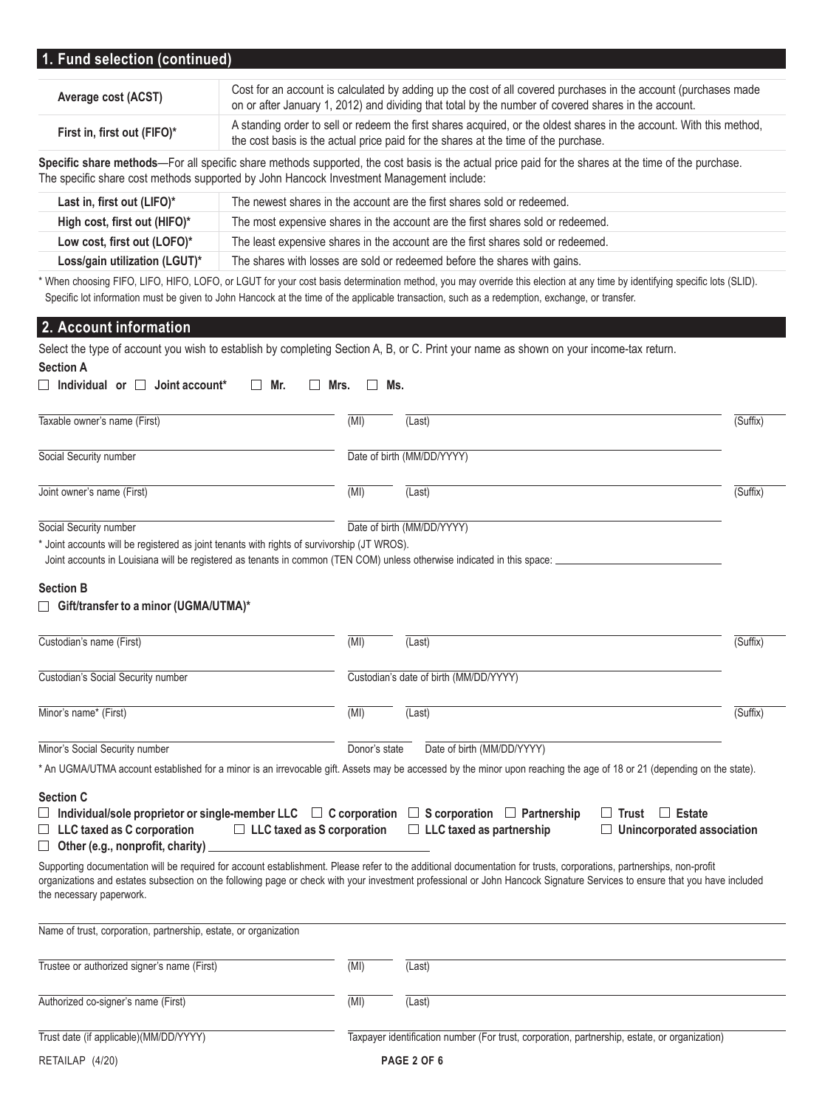# **1. Fund selection (continued)**

| Average cost (ACST)         | Cost for an account is calculated by adding up the cost of all covered purchases in the account (purchases made<br>on or after January 1, 2012) and dividing that total by the number of covered shares in the account. |
|-----------------------------|-------------------------------------------------------------------------------------------------------------------------------------------------------------------------------------------------------------------------|
| First in, first out (FIFO)* | A standing order to sell or redeem the first shares acquired, or the oldest shares in the account. With this method,<br>the cost basis is the actual price paid for the shares at the time of the purchase.             |

**Specific share methods**—For all specific share methods supported, the cost basis is the actual price paid for the shares at the time of the purchase. The specific share cost methods supported by John Hancock Investment Management include:

| Last in, first out (LIFO)*    | The newest shares in the account are the first shares sold or redeemed.          |
|-------------------------------|----------------------------------------------------------------------------------|
| High cost, first out (HIFO)*  | The most expensive shares in the account are the first shares sold or redeemed.  |
| Low cost, first out (LOFO)*   | The least expensive shares in the account are the first shares sold or redeemed. |
| Loss/gain utilization (LGUT)* | The shares with losses are sold or redeemed before the shares with gains.        |

\* When choosing FIFO, LIFO, HIFO, LOFO, or LGUT for your cost basis determination method, you may override this election at any time by identifying specific lots (SLID). Specific lot information must be given to John Hancock at the time of the applicable transaction, such as a redemption, exchange, or transfer.

## **2. Account information**

| Select the type of account you wish to establish by completing Section A, B, or C. Print your name as shown on your income-tax return.<br><b>Section A</b>                                                                                      |               |                                                                                                                                                                                                                                                                                                                                                   |                              |
|-------------------------------------------------------------------------------------------------------------------------------------------------------------------------------------------------------------------------------------------------|---------------|---------------------------------------------------------------------------------------------------------------------------------------------------------------------------------------------------------------------------------------------------------------------------------------------------------------------------------------------------|------------------------------|
| $\Box$ Individual or $\Box$ Joint account*<br>Mr.<br>Mrs.<br>$\vert \ \ \vert$                                                                                                                                                                  | $\mathsf{L}$  | Ms.                                                                                                                                                                                                                                                                                                                                               |                              |
| Taxable owner's name (First)                                                                                                                                                                                                                    | (MI)          | (Last)                                                                                                                                                                                                                                                                                                                                            | $\overline{\text{(Suffix)}}$ |
| Social Security number                                                                                                                                                                                                                          |               | Date of birth (MM/DD/YYYY)                                                                                                                                                                                                                                                                                                                        |                              |
| Joint owner's name (First)                                                                                                                                                                                                                      | (MI)          | (Last)                                                                                                                                                                                                                                                                                                                                            | $\overline{\text{(Suffix)}}$ |
| Social Security number                                                                                                                                                                                                                          |               | Date of birth (MM/DD/YYYY)                                                                                                                                                                                                                                                                                                                        |                              |
| * Joint accounts will be registered as joint tenants with rights of survivorship (JT WROS).<br>Joint accounts in Louisiana will be registered as tenants in common (TEN COM) unless otherwise indicated in this space:                          |               |                                                                                                                                                                                                                                                                                                                                                   |                              |
| <b>Section B</b><br>□ Gift/transfer to a minor (UGMA/UTMA)*                                                                                                                                                                                     |               |                                                                                                                                                                                                                                                                                                                                                   |                              |
| Custodian's name (First)                                                                                                                                                                                                                        | (MI)          | (Last)                                                                                                                                                                                                                                                                                                                                            | (Suffix)                     |
| Custodian's Social Security number                                                                                                                                                                                                              |               | Custodian's date of birth (MM/DD/YYYY)                                                                                                                                                                                                                                                                                                            |                              |
| Minor's name* (First)                                                                                                                                                                                                                           | (MI)          | (Last)                                                                                                                                                                                                                                                                                                                                            | (Suffix)                     |
| Minor's Social Security number                                                                                                                                                                                                                  | Donor's state | Date of birth (MM/DD/YYYY)                                                                                                                                                                                                                                                                                                                        |                              |
| <b>Section C</b>                                                                                                                                                                                                                                |               | * An UGMA/UTMA account established for a minor is an irrevocable gift. Assets may be accessed by the minor upon reaching the age of 18 or 21 (depending on the state).                                                                                                                                                                            |                              |
| $\Box$ Individual/sole proprietor or single-member LLC $\Box$ C corporation $\Box$ S corporation $\Box$ Partnership<br>$\Box$ LLC taxed as C corporation<br>$\Box$ LLC taxed as S corporation<br>$\Box$ Other (e.g., nonprofit, charity) $\Box$ |               | $\Box$ Estate<br>$\Box$ Trust<br>$\Box$ LLC taxed as partnership<br>$\Box$ Unincorporated association                                                                                                                                                                                                                                             |                              |
| the necessary paperwork.                                                                                                                                                                                                                        |               | Supporting documentation will be required for account establishment. Please refer to the additional documentation for trusts, corporations, partnerships, non-profit<br>organizations and estates subsection on the following page or check with your investment professional or John Hancock Signature Services to ensure that you have included |                              |
| Name of trust, corporation, partnership, estate, or organization                                                                                                                                                                                |               |                                                                                                                                                                                                                                                                                                                                                   |                              |
| Trustee or authorized signer's name (First)                                                                                                                                                                                                     | (MI)          | (Last)                                                                                                                                                                                                                                                                                                                                            |                              |
| Authorized co-signer's name (First)                                                                                                                                                                                                             | (MI)          | (Last)                                                                                                                                                                                                                                                                                                                                            |                              |
| Trust date (if applicable)(MM/DD/YYYY)                                                                                                                                                                                                          |               | Taxpayer identification number (For trust, corporation, partnership, estate, or organization)                                                                                                                                                                                                                                                     |                              |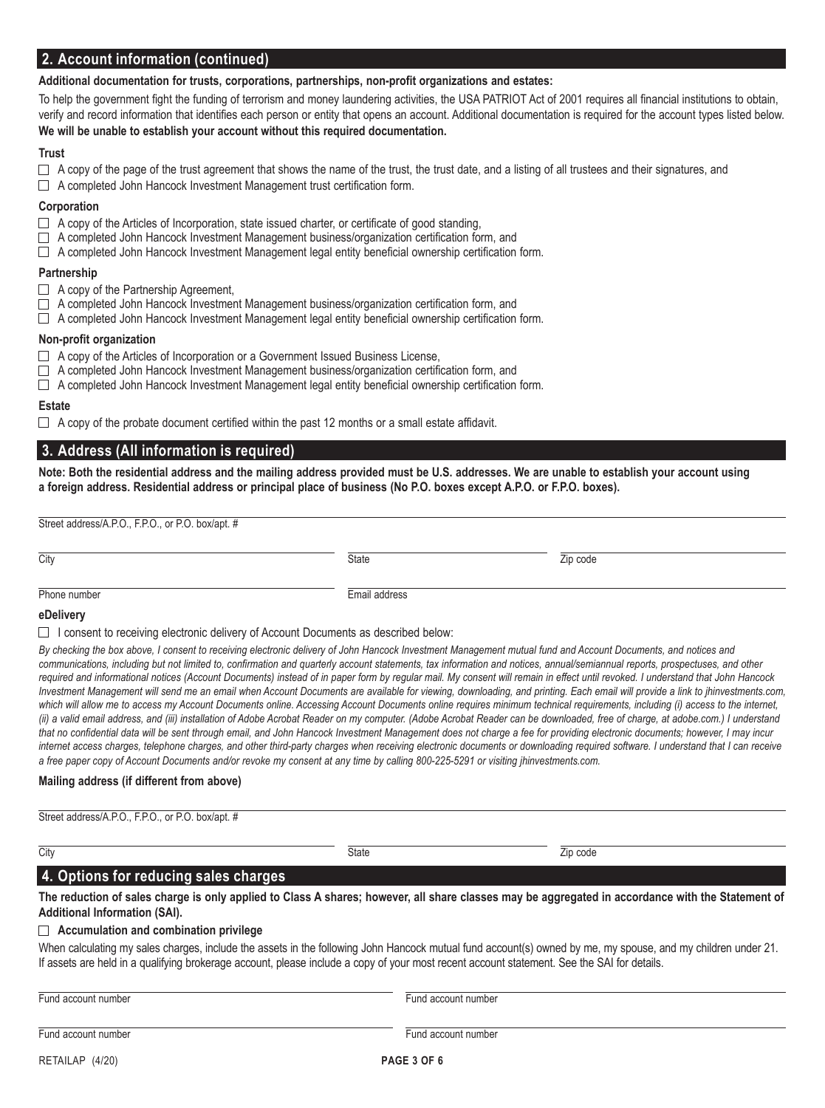## **2. Account information (continued)**

#### **Additional documentation for trusts, corporations, partnerships, non-profit organizations and estates:**

To help the government fight the funding of terrorism and money laundering activities, the USA PATRIOT Act of 2001 requires all financial institutions to obtain, verify and record information that identifies each person or entity that opens an account. Additional documentation is required for the account types listed below. **We will be unable to establish your account without this required documentation.**

#### **Trust**

- $\Box$  A copy of the page of the trust agreement that shows the name of the trust, the trust date, and a listing of all trustees and their signatures, and
- □ A completed John Hancock Investment Management trust certification form.

#### **Corporation**

- $\Box$  A copy of the Articles of Incorporation, state issued charter, or certificate of good standing,
- $\Box$  A completed John Hancock Investment Management business/organization certification form, and
- $\Box$  A completed John Hancock Investment Management legal entity beneficial ownership certification form.

#### **Partnership**

- □ A copy of the Partnership Agreement,
- $\Box$  A completed John Hancock Investment Management business/organization certification form, and
- $\Box$  A completed John Hancock Investment Management legal entity beneficial ownership certification form.

#### **Non-profit organization**

- $\Box$  A copy of the Articles of Incorporation or a Government Issued Business License,
- $\Box$  A completed John Hancock Investment Management business/organization certification form, and
- $\Box$  A completed John Hancock Investment Management legal entity beneficial ownership certification form.

#### **Estate**

 $\Box$  A copy of the probate document certified within the past 12 months or a small estate affidavit.

## **3. Address (All information is required)**

**Note: Both the residential address and the mailing address provided must be U.S. addresses. We are unable to establish your account using a foreign address. Residential address or principal place of business (No P.O. boxes except A.P.O. or F.P.O. boxes).**

Street address/A.P.O., F.P.O., or P.O. box/apt. #

City State Zip code

#### Phone number **Email address**

**eDelivery**

 $\Box$  I consent to receiving electronic delivery of Account Documents as described below:

By checking the box above, I consent to receiving electronic delivery of John Hancock Investment Management mutual fund and Account Documents, and notices and communications, including but not limited to, confirmation and quarterly account statements, tax information and notices, annual/semiannual reports, prospectuses, and other *required and informational notices (Account Documents) instead of in paper form by regular mail. My consent will remain in effect until revoked. I understand that John Hancock Investment Management will send me an email when Account Documents are available for viewing, downloading, and printing. Each email will provide a link to jhinvestments.com,*  which will allow me to access my Account Documents online. Accessing Account Documents online requires minimum technical requirements, including (i) access to the internet, *(ii) a valid email address, and (iii) installation of Adobe Acrobat Reader on my computer. (Adobe Acrobat Reader can be downloaded, free of charge, at adobe.com.) I understand*  that no confidential data will be sent through email, and John Hancock Investment Management does not charge a fee for providing electronic documents; however, I may incur *internet access charges, telephone charges, and other third-party charges when receiving electronic documents or downloading required software. I understand that I can receive a free paper copy of Account Documents and/or revoke my consent at any time by calling 800-225-5291 or visiting jhinvestments.com.*

#### **Mailing address (if different from above)**

| Street address/A.P.O., F.P.O., or<br>ا ۱۵۵۰<br>. box/apt. # |  |  |
|-------------------------------------------------------------|--|--|
|                                                             |  |  |

## City State Zip code

## **4. Options for reducing sales charges**

**The reduction of sales charge is only applied to Class A shares; however, all share classes may be aggregated in accordance with the Statement of Additional Information (SAI).**

#### **Accumulation and combination privilege**

When calculating my sales charges, include the assets in the following John Hancock mutual fund account(s) owned by me, my spouse, and my children under 21. If assets are held in a qualifying brokerage account, please include a copy of your most recent account statement. See the SAI for details.

Fund account number Fund account number Fund account number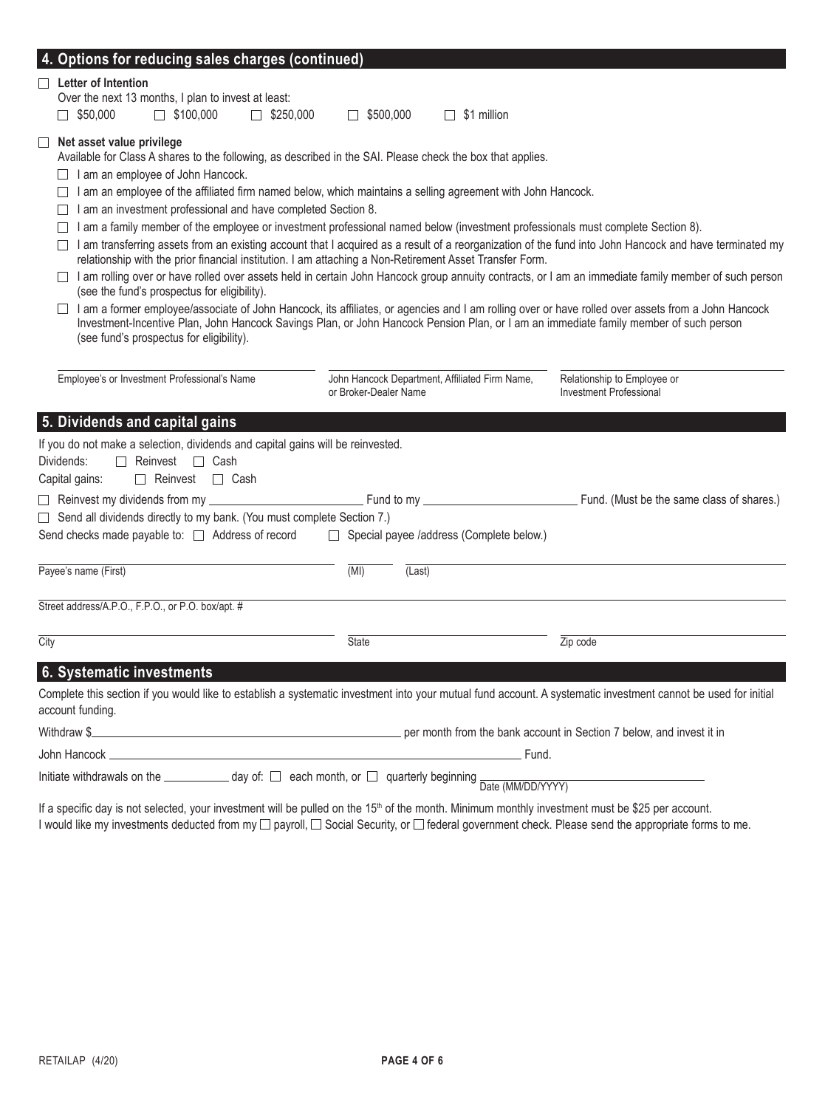| 4. Options for reducing sales charges (continued)                                                                                                                                                                                                                                                                                                                                        |                                                                         |                                                                                                                                                                                                                                                                                             |  |
|------------------------------------------------------------------------------------------------------------------------------------------------------------------------------------------------------------------------------------------------------------------------------------------------------------------------------------------------------------------------------------------|-------------------------------------------------------------------------|---------------------------------------------------------------------------------------------------------------------------------------------------------------------------------------------------------------------------------------------------------------------------------------------|--|
| <b>Letter of Intention</b><br>Over the next 13 months, I plan to invest at least:<br>$\Box$ \$50,000<br>$\Box$ \$100,000<br>$\Box$ \$250,000                                                                                                                                                                                                                                             | $\Box$ \$500,000<br>$\Box$ \$1 million                                  |                                                                                                                                                                                                                                                                                             |  |
| $\Box$ Net asset value privilege<br>Available for Class A shares to the following, as described in the SAI. Please check the box that applies.<br>$\Box$ I am an employee of John Hancock.<br>$\Box$ I am an employee of the affiliated firm named below, which maintains a selling agreement with John Hancock.<br>$\Box$ I am an investment professional and have completed Section 8. |                                                                         |                                                                                                                                                                                                                                                                                             |  |
| $\Box$ I am a family member of the employee or investment professional named below (investment professionals must complete Section 8).<br>relationship with the prior financial institution. I am attaching a Non-Retirement Asset Transfer Form.                                                                                                                                        |                                                                         | □ I am transferring assets from an existing account that I acquired as a result of a reorganization of the fund into John Hancock and have terminated my                                                                                                                                    |  |
| (see the fund's prospectus for eligibility).                                                                                                                                                                                                                                                                                                                                             |                                                                         | □ I am rolling over or have rolled over assets held in certain John Hancock group annuity contracts, or I am an immediate family member of such person                                                                                                                                      |  |
| $\Box$<br>(see fund's prospectus for eligibility).                                                                                                                                                                                                                                                                                                                                       |                                                                         | I am a former employee/associate of John Hancock, its affiliates, or agencies and I am rolling over or have rolled over assets from a John Hancock<br>Investment-Incentive Plan, John Hancock Savings Plan, or John Hancock Pension Plan, or I am an immediate family member of such person |  |
| Employee's or Investment Professional's Name                                                                                                                                                                                                                                                                                                                                             | John Hancock Department, Affiliated Firm Name,<br>or Broker-Dealer Name | Relationship to Employee or<br><b>Investment Professional</b>                                                                                                                                                                                                                               |  |
| 5. Dividends and capital gains                                                                                                                                                                                                                                                                                                                                                           |                                                                         |                                                                                                                                                                                                                                                                                             |  |
| If you do not make a selection, dividends and capital gains will be reinvested.<br>Dividends:<br>$\Box$ Reinvest $\Box$ Cash<br>$\Box$ Reinvest $\Box$ Cash<br>Capital gains:                                                                                                                                                                                                            |                                                                         |                                                                                                                                                                                                                                                                                             |  |
| □ Reinvest my dividends from my ________                                                                                                                                                                                                                                                                                                                                                 |                                                                         |                                                                                                                                                                                                                                                                                             |  |
| $\Box$ Send all dividends directly to my bank. (You must complete Section 7.)                                                                                                                                                                                                                                                                                                            |                                                                         |                                                                                                                                                                                                                                                                                             |  |
| Send checks made payable to: □ Address of record                                                                                                                                                                                                                                                                                                                                         | $\Box$ Special payee /address (Complete below.)                         |                                                                                                                                                                                                                                                                                             |  |
| Payee's name (First)                                                                                                                                                                                                                                                                                                                                                                     | (MI)<br>(Last)                                                          |                                                                                                                                                                                                                                                                                             |  |
| Street address/A.P.O., F.P.O., or P.O. box/apt. #                                                                                                                                                                                                                                                                                                                                        |                                                                         |                                                                                                                                                                                                                                                                                             |  |
| City                                                                                                                                                                                                                                                                                                                                                                                     | State                                                                   | Zip code                                                                                                                                                                                                                                                                                    |  |
| 6. Systematic investments                                                                                                                                                                                                                                                                                                                                                                |                                                                         |                                                                                                                                                                                                                                                                                             |  |
| account funding.                                                                                                                                                                                                                                                                                                                                                                         |                                                                         | Complete this section if you would like to establish a systematic investment into your mutual fund account. A systematic investment cannot be used for initial                                                                                                                              |  |
| Withdraw \$                                                                                                                                                                                                                                                                                                                                                                              |                                                                         | per month from the bank account in Section 7 below, and invest it in                                                                                                                                                                                                                        |  |
| John Hancock                                                                                                                                                                                                                                                                                                                                                                             |                                                                         | Fund.                                                                                                                                                                                                                                                                                       |  |
| Initiate withdrawals on the ____________ day of: □ each month, or □ quarterly beginning                                                                                                                                                                                                                                                                                                  |                                                                         | Date (MM/DD/YYYY)                                                                                                                                                                                                                                                                           |  |

If a specific day is not selected, your investment will be pulled on the 15<sup>th</sup> of the month. Minimum monthly investment must be \$25 per account. I would like my investments deducted from my ⊡ payroll, ⊟ Social Security, or ⊟ federal government check. Please send the appropriate forms to me.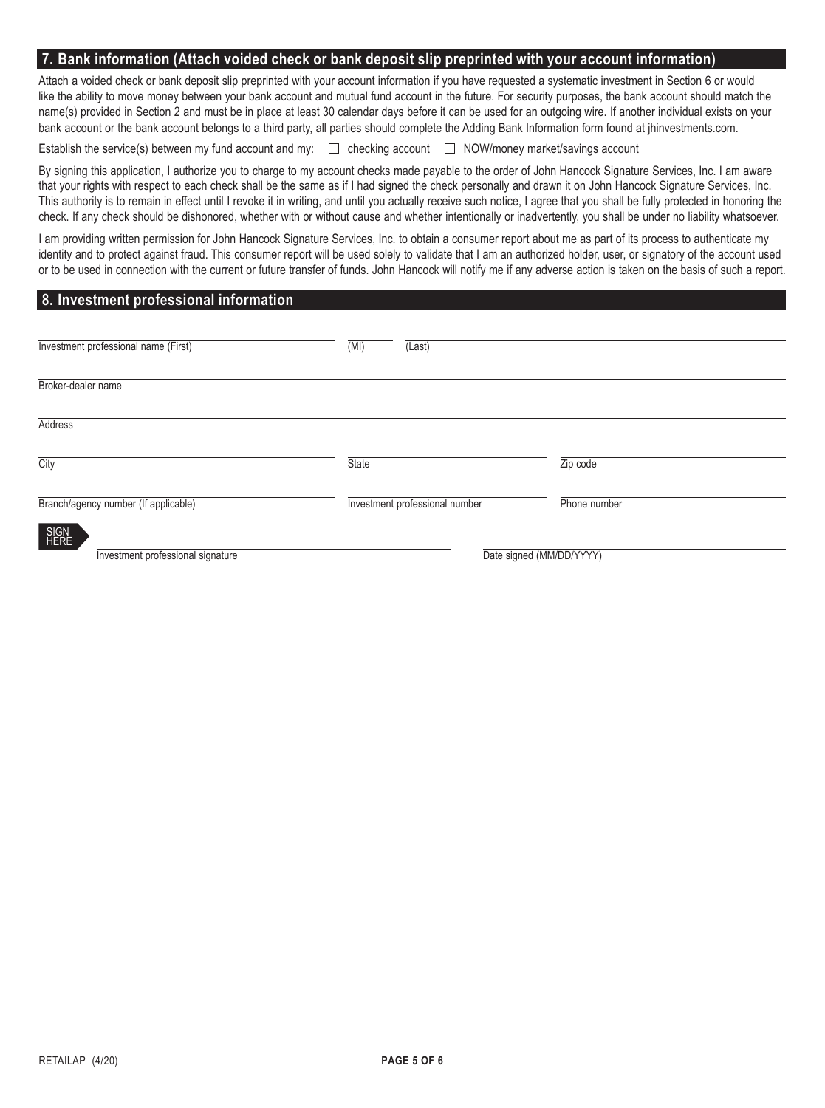#### **7. Bank information (Attach voided check or bank deposit slip preprinted with your account information)**

Attach a voided check or bank deposit slip preprinted with your account information if you have requested a systematic investment in Section 6 or would like the ability to move money between your bank account and mutual fund account in the future. For security purposes, the bank account should match the name(s) provided in Section 2 and must be in place at least 30 calendar days before it can be used for an outgoing wire. If another individual exists on your bank account or the bank account belongs to a third party, all parties should complete the Adding Bank Information form found at jhinvestments.com.

Establish the service(s) between my fund account and my:  $\square$  checking account  $\square$  NOW/money market/savings account

By signing this application, I authorize you to charge to my account checks made payable to the order of John Hancock Signature Services, Inc. I am aware that your rights with respect to each check shall be the same as if I had signed the check personally and drawn it on John Hancock Signature Services, Inc. This authority is to remain in effect until I revoke it in writing, and until you actually receive such notice, I agree that you shall be fully protected in honoring the check. If any check should be dishonored, whether with or without cause and whether intentionally or inadvertently, you shall be under no liability whatsoever.

I am providing written permission for John Hancock Signature Services, Inc. to obtain a consumer report about me as part of its process to authenticate my identity and to protect against fraud. This consumer report will be used solely to validate that I am an authorized holder, user, or signatory of the account used or to be used in connection with the current or future transfer of funds. John Hancock will notify me if any adverse action is taken on the basis of such a report.

## **8. Investment professional information**

| Investment professional name (First) | (MI)  | (Last)                         |              |
|--------------------------------------|-------|--------------------------------|--------------|
|                                      |       |                                |              |
| Broker-dealer name                   |       |                                |              |
| <b>Address</b>                       |       |                                |              |
| City                                 | State |                                | Zip code     |
| Branch/agency number (If applicable) |       | Investment professional number | Phone number |
| SIGN<br>HERE                         |       |                                |              |
| Investment professional signature    |       | Date signed (MM/DD/YYYY)       |              |